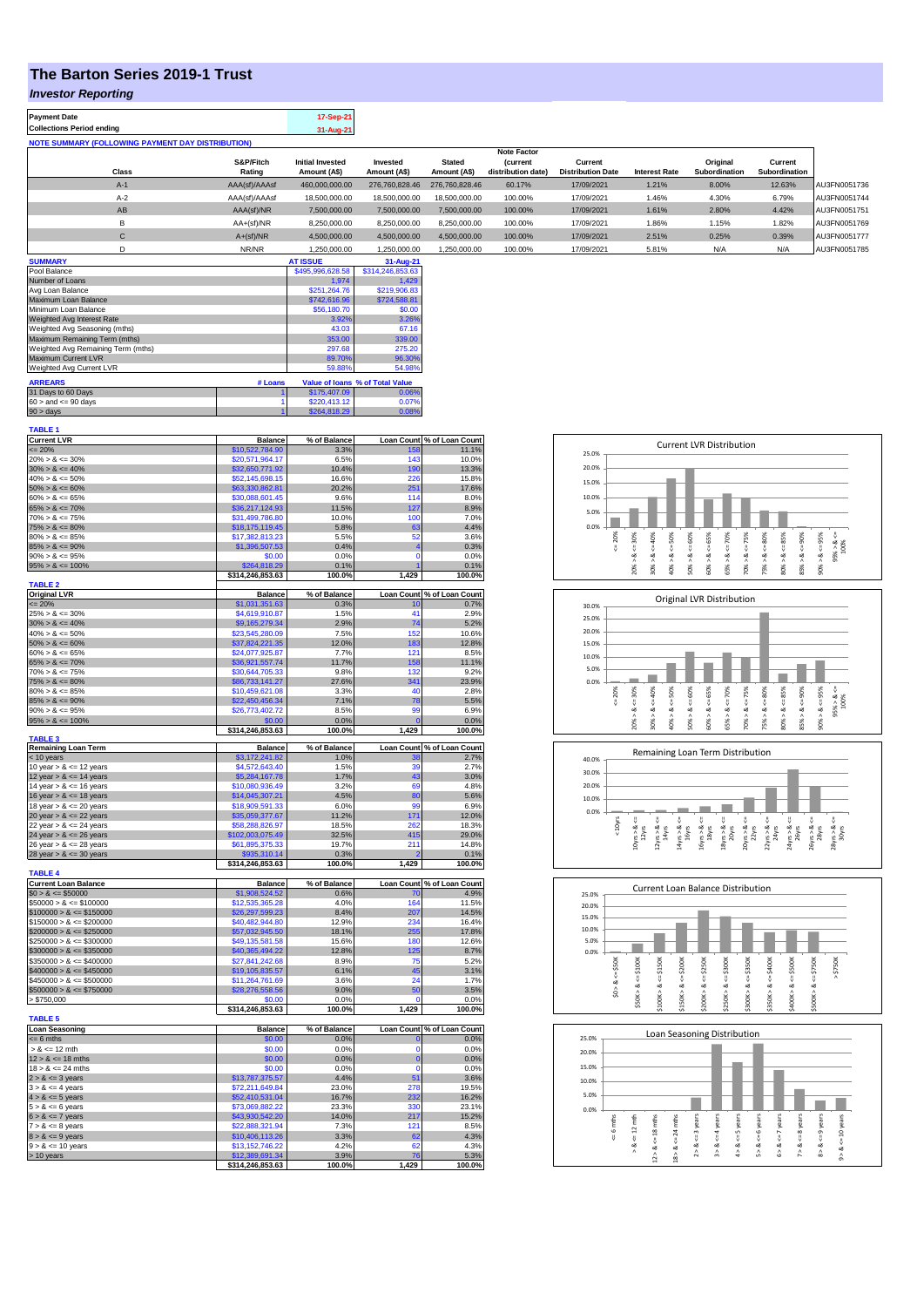## **The Barton Series 2019-1 Trust**

## *Investor Reporting*

| <b>Payment Date</b>                                      | 17-Sep-21 |
|----------------------------------------------------------|-----------|
| <b>Collections Period ending</b>                         | 31-Aug-21 |
| <b>NOTE SUMMARY (FOLLOWING PAYMENT DAY DISTRIBUTION)</b> |           |

|              |               |                         |                |                | <b>Note Factor</b> |                          |                      |               |               |              |
|--------------|---------------|-------------------------|----------------|----------------|--------------------|--------------------------|----------------------|---------------|---------------|--------------|
|              | S&P/Fitch     | <b>Initial Invested</b> | Invested       | <b>Stated</b>  | <b>Current</b>     | Current                  |                      | Original      | Current       |              |
| <b>Class</b> | Rating        | Amount (A\$)            | Amount (A\$)   | Amount (A\$)   | distribution date) | <b>Distribution Date</b> | <b>Interest Rate</b> | Subordination | Subordination |              |
| $A-1$        | AAA(sf)/AAAsf | 460,000,000.00          | 276,760,828,46 | 276.760.828.46 | 60.17%             | 17/09/2021               | 1.21%                | 8.00%         | 12.63%        | AU3FN0051736 |
| $A-2$        | AAA(sf)/AAAsf | 18,500,000,00           | 18,500,000,00  | 18,500,000,00  | 100.00%            | 17/09/2021               | 1.46%                | 4.30%         | 6.79%         | AU3FN0051744 |
| AB           | AAA(sf)/NR    | 7,500,000.00            | 7,500,000.00   | 7,500,000.00   | 100.00%            | 17/09/2021               | 1.61%                | 2.80%         | 4.42%         | AU3FN0051751 |
| в            | $AA+(sf)/NR$  | 8,250,000.00            | 8.250.000.00   | 8.250.000.00   | 100.00%            | 17/09/2021               | 1.86%                | 1.15%         | 1.82%         | AU3FN0051769 |
| $\mathsf{C}$ | $A+(sf)/NR$   | 4,500,000.00            | 4,500,000.00   | 4.500.000.00   | 100.00%            | 17/09/2021               | 2.51%                | 0.25%         | 0.39%         | AU3FN0051777 |
|              | NR/NR         | 1.250.000.00            | 1.250.000.00   | 1.250.000.00   | 100.00%            | 17/09/2021               | 5.81%                | N/A           | N/A           | AU3FN0051785 |

| <b>SUMMARY</b>                     |         | <b>AT ISSUE</b>  | 31-Aug-21                       |
|------------------------------------|---------|------------------|---------------------------------|
| Pool Balance                       |         | \$495,996,628.58 | \$314,246,853.63                |
| Number of Loans                    |         | 1.974            | 1.429                           |
| Avg Loan Balance                   |         | \$251.264.76     | \$219,906.83                    |
| Maximum Loan Balance               |         | \$742,616.96     | \$724,588.81                    |
| Minimum Loan Balance               |         | \$56,180.70      | \$0.00                          |
| Weighted Avg Interest Rate         |         | 3.92%            | 3.26%                           |
| Weighted Avg Seasoning (mths)      |         | 43.03            | 67.16                           |
| Maximum Remaining Term (mths)      |         | 353.00           | 339.00                          |
| Weighted Avg Remaining Term (mths) |         | 297.68           | 275.20                          |
| Maximum Current LVR                |         | 89.70%           | 96.30%                          |
| Weighted Avg Current LVR           |         | 59.88%           | 54.98%                          |
| <b>ARREARS</b>                     | # Loans |                  | Value of Ioans % of Total Value |
| 31 Days to 60 Days                 |         | \$175,407.09     | 0.06%                           |
| $60 >$ and $\leq 90$ days          |         | \$220.413.12     | 0.07%                           |
| $90 >$ days                        |         | \$264,818.29     | 0.08%                           |

| <b>TABLE 1</b>                             |                                     |                      |                            |                                    |
|--------------------------------------------|-------------------------------------|----------------------|----------------------------|------------------------------------|
| <b>Current LVR</b>                         | <b>Balance</b>                      | % of Balance         |                            | Loan Count % of Loan Count         |
| $= 20%$                                    | \$10,522,784.90                     | 3.3%                 | 158<br>143                 | 11.1%<br>10.0%                     |
| $20\% > 8 \le 30\%$<br>$30\% > 8 \le 40\%$ | \$20,571,964.17                     | 6.5%                 |                            |                                    |
| $40\% > 8 \le 50\%$                        | \$32,650,771.92<br>\$52,145,698.15  | 10.4%<br>16.6%       | 190<br>226                 | 13.3%<br>15.8%                     |
| $50\% > 8 \le 60\%$                        | \$63,330,862.81                     | 20.2%                | 251                        | 17.6%                              |
| $60\% > 8 \le 65\%$                        | \$30,088,601.45                     | 9.6%                 | 114                        | 8.0%                               |
| $65\% > 8 \le 70\%$                        | \$36,217,124.93                     | 11.5%                | 127                        | 8.9%                               |
| $70\% > 8 \le 75\%$                        | \$31,499,786.80                     | 10.0%                | 100                        | 7.0%                               |
| $75\% > 8 \le 80\%$                        | \$18,175,119.45                     | 5.8%                 | 63                         | 4.4%                               |
| $80\% > 8 \le 85\%$                        | \$17,382,813.23                     | 5.5%                 | 52                         | 3.6%                               |
| $85\% > 8 \le 90\%$                        | \$1,396,507.53                      | 0.4%                 | 4                          | 0.3%                               |
| $90\% > 8 \le 95\%$                        | \$0.00                              | 0.0%                 | $\Omega$                   | 0.0%                               |
| $95\% > 8 \le 100\%$                       | \$264,818.29                        | 0.1%                 | $\overline{1}$             | 0.1%                               |
|                                            | \$314,246,853.63                    | 100.0%               | 1,429                      | 100.0%                             |
| <b>TABLE 2</b><br><b>Original LVR</b>      | <b>Balance</b>                      | % of Balance         |                            | Loan Count % of Loan Count         |
| $= 20%$                                    | \$1,031,351.63                      | 0.3%                 | 10                         | 0.7%                               |
| $25\% > 8 \le 30\%$                        | \$4,619,910.87                      | 1.5%                 | 41                         | 2.9%                               |
| $30\% > 8 \le 40\%$                        | \$9,165,279.34                      | 2.9%                 | 74                         | 5.2%                               |
| $40\% > 8 \le 50\%$                        | \$23,545,280.09                     | 7.5%                 | 152                        | 10.6%                              |
| $50\% > 8 \le 60\%$                        | \$37,824,221.35                     | 12.0%                | 183                        | 12.8%                              |
| $60\% > 8 \le 65\%$                        | \$24.077.925.87                     | 7.7%                 | 121                        | 8.5%                               |
| $65\% > 8 \le 70\%$                        | \$36,921,557.74                     | 11.7%                | 158                        | 11.1%                              |
| $70\% > 8 \le 75\%$                        | \$30,644,705.33                     | 9.8%                 | 132                        | 9.2%                               |
| $75\% > 8 \le 80\%$                        | \$86,733,141.27                     | 27.6%                | 341                        | 23.9%                              |
| $80\% > 8 \le 85\%$                        | \$10,459,621.08                     | 3.3%                 | 40                         | 2.8%                               |
| $85\% > 8 \le 90\%$                        | \$22,450,456.34                     | 7.1%                 | 78                         | 5.5%                               |
| $90\% > 8 \le 95\%$                        | \$26,773,402.72                     | 8.5%                 | 99                         | 6.9%                               |
| $95\% > 8 \le 100\%$                       | \$0.00                              | 0.0%                 | $\overline{0}$             | 0.0%                               |
| <b>TABLE 3</b>                             | \$314,246,853.63                    | 100.0%               | 1,429                      | 100.0%                             |
| <b>Remaining Loan Term</b>                 | <b>Balance</b>                      | % of Balance         |                            | Loan Count % of Loan Count         |
| < 10 years                                 | \$3,172,241.82                      | 1.0%                 | 38                         | 2.7%                               |
| 10 year $> 8 \le 12$ years                 | \$4,572,643.40                      | 1.5%                 | 39                         | 2.7%                               |
| 12 year $> 8 \le 14$ years                 | \$5,284,167.78                      | 1.7%                 | 43                         | 3.0%                               |
| 14 year $> 8 \le 16$ years                 | \$10,080,936.49                     | 3.2%                 | 69                         | 4.8%                               |
| 16 year $> 8 \le 18$ years                 | \$14,045,307.21                     | 4.5%                 | 80                         | 5.6%                               |
| 18 year $> 8 \le 20$ years                 | \$18,909,591.33                     | 6.0%                 | 99                         | 6.9%                               |
| 20 year $> 8 \le 22$ years                 | \$35,059,377.67                     | 11.2%                | 171                        | 12.0%                              |
| 22 year $> 8 \le 24$ years                 | \$58,288,826.97                     | 18.5%                | 262                        | 18.3%                              |
| 24 year $> 8 \le 26$ years                 | \$102,003,075.49                    | 32.5%                | 415                        | 29.0%                              |
| 26 year $> 8 \le 28$ years                 | \$61,895,375.33                     | 19.7%                | 211                        | 14.8%                              |
| 28 year $> 8 \le 30$ years                 | \$935,310.14<br>\$314,246,853.63    | 0.3%<br>100.0%       | $\overline{2}$<br>429<br>1 | 0.1%<br>100.0%                     |
| <b>TABLE 4</b>                             |                                     |                      |                            |                                    |
| <b>Current Loan Balance</b>                | <b>Balance</b>                      | % of Balance         |                            | Loan Count % of Loan Count         |
| $$0 > 8 \le $50000$                        | \$1,908,524.52                      | 0.6%                 | 70                         | 4.9%                               |
| $$50000 > 8 \le $100000$                   | \$12,535,365.28                     | 4.0%                 | 164                        | 11.5%                              |
| $$100000 > 8 \le $150000$                  | \$26,297,599.23                     | 8.4%                 | 207                        | 14.5%                              |
| $$150000 > 8 \le $200000$                  | \$40,482,944.80                     | 12.9%                | 234                        | 16.4%                              |
| $$200000 > 8 \leq $250000$                 | \$57,032,945.50                     | 18.1%                | 255                        | 17.8%                              |
| $$250000 > 8 \le $300000$                  | \$49,135,581.58                     | 15.6%                | 180                        | 12.6%                              |
| $$300000 > 8 \le $350000$                  | \$40,365,494.22                     | 12.8%                | 125                        | 8.7%                               |
| $$350000 > 8 \le $400000$                  | \$27,841,242.68                     | 8.9%                 | 75                         | 5.2%                               |
| $$400000 > 8 \le $450000$                  | \$19,105,835.57                     | 6.1%                 | 45                         | 3.1%                               |
| $$450000 > 8 \le $500000$                  | \$11,264,761.69                     | 3.6%                 | 24                         | 1.7%                               |
| $$500000 > 8 \le $750000$<br>> \$750,000   | \$28,276,558.56<br>\$0.00           | 9.0%<br>0.0%         | 50<br>0                    | 3.5%<br>0.0%                       |
|                                            | \$314,246,853.63                    | 100.0%               | 1,429                      | 100.0%                             |
| <b>TABLE 5</b>                             |                                     |                      |                            |                                    |
| <b>Loan Seasoning</b>                      |                                     |                      |                            |                                    |
| $= 6$ mths                                 | <b>Balance</b>                      |                      |                            |                                    |
|                                            | \$0.00                              | % of Balance<br>0.0% | $\mathbf 0$                | Loan Count % of Loan Count<br>0.0% |
| $> 8$ <= 12 mth                            | \$0.00                              | 0.0%                 | $\Omega$                   | 0.0%                               |
| $12 > 8 \le 18$ mths                       | \$0.00                              | 0.0%                 | $\mathbf 0$                | 0.0%                               |
| $18 > 8 \le 24$ mths                       | \$0.00                              | 0.0%                 | $\Omega$                   | 0.0%                               |
| $2 > 8 \le 3$ years                        | \$13,787,375.57                     | 4.4%                 | 51                         | 3.6%                               |
| $3 > 8 \le 4$ years                        | \$72,211,649.84                     | 23.0%                | 278                        | 19.5%                              |
| $4 > 8 \le 5$ years                        | \$52,410,531.04                     | 16.7%                | 232                        | 16.2%                              |
| $5 > 8 \le 6$ years                        | \$73,069,882.22                     | 23.3%                | 330                        | 23.1%                              |
| $6 > 8 \le 7$ years                        | \$43,930,542.20                     | 14.0%                | 217                        | 15.2%                              |
| $7 > 8 \le 8$ years                        | \$22,888,321.94                     | 7.3%                 | 121                        | 8.5%                               |
| $8 > 8 \le 9$ years                        | \$10,406,113.26                     | 3.3%                 | 62                         | 4.3%                               |
| $9 > 8 \le 10$ years                       | \$13,152,746.22                     | 4.2%                 | 62                         | 4.3%                               |
| > 10 years                                 | \$12,389,691.34<br>\$314,246,853.63 | 3.9%<br>100.0%       | 76<br>1,429                | 5.3%<br>100.0%                     |









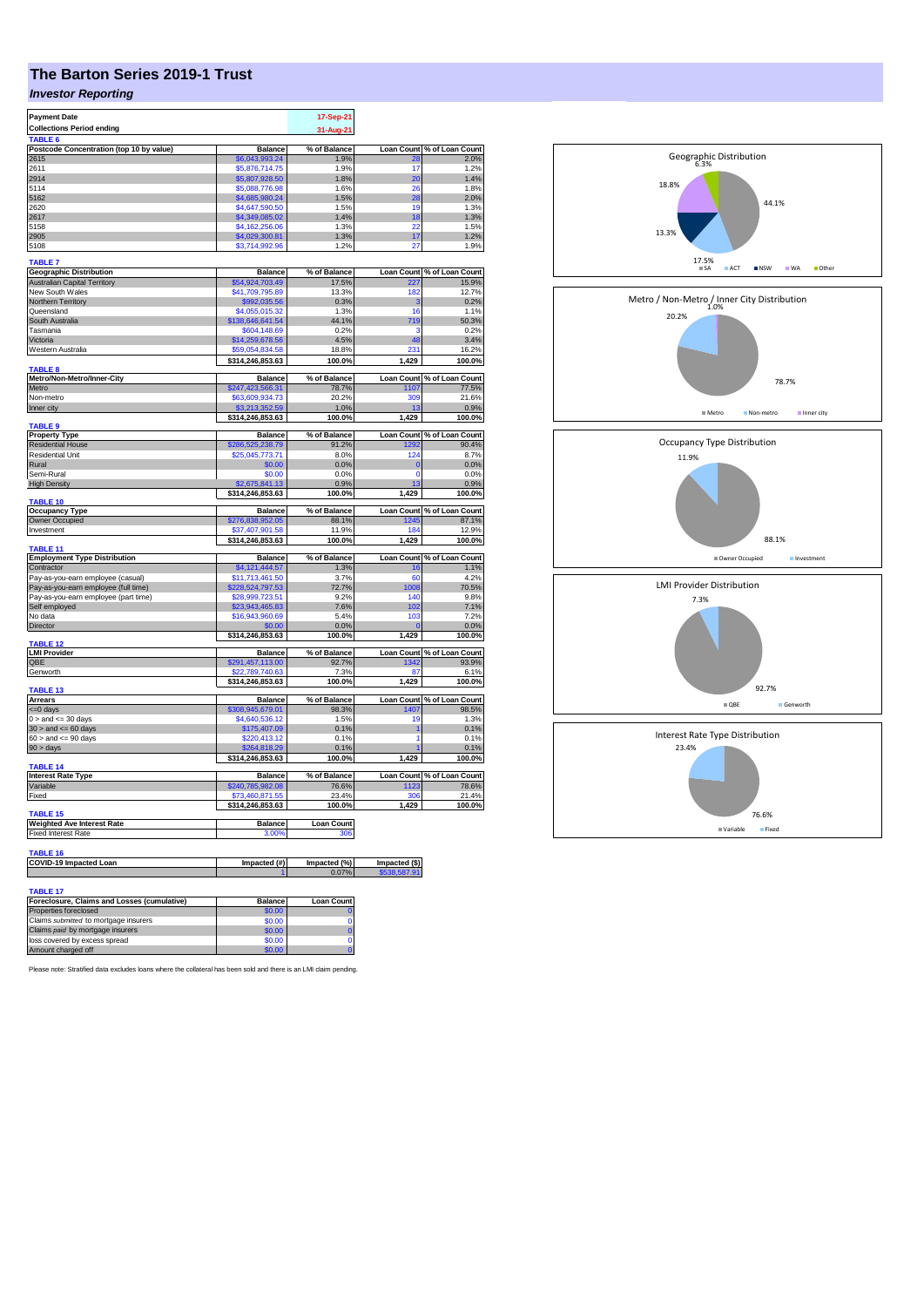## **The Barton Series 2019-1 Trust**

## *Investor Reporting*

| <b>Payment Date</b>                                                          |                                     | 17-Sep-21             |                               |                                                    |
|------------------------------------------------------------------------------|-------------------------------------|-----------------------|-------------------------------|----------------------------------------------------|
| <b>Collections Period ending</b>                                             |                                     | 31-Aug-21             |                               |                                                    |
| TABLE <sub>6</sub>                                                           |                                     |                       |                               |                                                    |
| Postcode Concentration (top 10 by value)<br>2615                             | <b>Balance</b><br>\$6,043,993.24    | % of Balance<br>1.9%  | <b>Loan Count</b>             | % of Loan Count<br>2.0%                            |
| 2611                                                                         | \$5,876,714.75                      | 1.9%                  | 17                            | 1.2%                                               |
| 2914                                                                         | \$5,807,928.50                      | 1.8%                  | 20                            | 1.4%                                               |
| 5114                                                                         | \$5,088,776.98                      | 1.6%                  | 26                            | 1.8%                                               |
| 5162                                                                         | \$4,685,980.24                      | 1.5%                  | 28                            | 2.0%                                               |
| 2620                                                                         | \$4,647,590.50                      | 1.5%                  | 19                            | 1.3%                                               |
| 2617                                                                         | \$4,349,085.02                      | 1.4%                  | 18                            | 1.3%                                               |
| 5158<br>2905                                                                 | \$4.162.256.06<br>\$4,029,300.81    | 1.3%<br>1.3%          | 22<br>17                      | 1.5%<br>1.2%                                       |
| 5108                                                                         | \$3,714,992.96                      | 1.2%                  | 27                            | 1.9%                                               |
|                                                                              |                                     |                       |                               |                                                    |
| <b>TABLE 7</b>                                                               |                                     |                       |                               |                                                    |
| <b>Geographic Distribution</b>                                               | <b>Balance</b>                      | % of Balance          |                               | Loan Count % of Loan Count                         |
| Australian Capital Territory<br>New South Wales                              | \$54,924,703.49<br>\$41,709,795.89  | 17.5%<br>13.3%        | 227<br>182                    | 15.9%<br>12.7%                                     |
| Northern Territory                                                           | \$992,035.56                        | 0.3%                  | з                             | 0.2%                                               |
| Queensland                                                                   | \$4,055,015.32                      | 1.3%                  | 16                            | 1.1%                                               |
| South Australia                                                              | \$138,646,641.54                    | 44.1%                 | 719                           | 50.3%                                              |
| Tasmania                                                                     | \$604,148.69                        | 0.2%                  | з                             | 0.2%                                               |
| Victoria                                                                     | \$14,259,678.56                     | 4.5%                  | 48                            | 3.4%                                               |
| Western Australia                                                            | \$59,054,834.58                     | 18.8%                 | 231                           | 16.2%                                              |
|                                                                              | \$314,246,853.63                    | 100.0%                | 1,429                         | 100.0%                                             |
| TABLE <sub>8</sub><br>Metro/Non-Metro/Inner-City                             | <b>Balance</b>                      | % of Balance          | <b>Loan Count</b>             | % of Loan Count                                    |
| Metro                                                                        | \$247,423,566.31                    | 78.7%                 | 1107                          | 77.5%                                              |
| Non-metro                                                                    | \$63,609,934.73                     | 20.2%                 | 309                           | 21.6%                                              |
| Inner city                                                                   | \$3,213,352.59                      | 1.0%                  | 13                            | 0.9%                                               |
|                                                                              | \$314,246,853.63                    | 100.0%                | 1,429                         | 100.0%                                             |
| <b>TABLE 9</b>                                                               |                                     |                       |                               |                                                    |
| <b>Property Type</b><br><b>Residential House</b>                             | <b>Balance</b><br>\$286,525,238.79  | % of Balance<br>91.2% | 1292                          | Loan Count % of Loan Count<br>90.4%                |
| <b>Residential Unit</b>                                                      | \$25,045,773.71                     | 8.0%                  | 124                           | 8.7%                                               |
| Rural                                                                        | \$0.00                              | 0.0%                  | $\overline{0}$                | 0.0%                                               |
| Semi-Rural                                                                   | \$0.00                              | 0.0%                  | $\Omega$                      | 0.0%                                               |
| <b>High Density</b>                                                          | \$2,675,841.13                      | 0.9%                  | 13                            | 0.9%                                               |
|                                                                              | \$314,246,853.63                    | 100.0%                | 1,429                         | 100.0%                                             |
| <b>TABLE 10</b><br><b>Occupancy Type</b>                                     | <b>Balance</b>                      | % of Balance          |                               | Loan Count % of Loan Count                         |
| Owner Occupied                                                               | \$276,838,952.05                    | 88.1%                 | 245                           | 87.1%                                              |
| Investment                                                                   | 37,407,901.58                       | 11.9%                 | 184                           | 12.9%                                              |
|                                                                              | \$314,246,853.63                    | 100.0%                | 1,429                         | 100.0%                                             |
| <b>TABLE 11</b>                                                              | <b>Balance</b>                      |                       |                               |                                                    |
| <b>Employment Type Distribution</b><br>Contractor                            | \$4,121,444.57                      | % of Balance<br>1.3%  | <b>Loan Count</b><br>16       | % of Loan Count<br>1.1%                            |
| Pay-as-you-earn employee (casual)                                            |                                     |                       |                               |                                                    |
|                                                                              |                                     |                       | 60                            |                                                    |
|                                                                              | \$11,713,461.50                     | 3.7%                  |                               |                                                    |
| Pay-as-you-earn employee (full time)<br>Pay-as-you-earn employee (part time) | \$228,524,797.53<br>\$28,999,723.51 | 72.7%<br>9.2%         | 1008<br>140                   |                                                    |
| Self employed                                                                | \$23,943,465.83                     | 7.6%                  | 102                           |                                                    |
| No data                                                                      | \$16,943,960.69                     | 5.4%                  | 103                           |                                                    |
| Director                                                                     | \$0.00                              | 0.0%                  |                               | 4.2%<br>70.5%<br>9.8%<br>7.1%<br>7.2%<br>0.0%      |
|                                                                              | \$314,246,853.63                    | 100.0%                | 1,429                         | 100.0%                                             |
| <b>TABLE 12</b>                                                              |                                     | % of Balance          |                               |                                                    |
| <b>LMI Provider</b><br>OBE                                                   | <b>Balance</b><br>\$291,457,113.00  | 92.7%                 | 1342                          |                                                    |
| Genworth                                                                     | \$22,789,740.63                     | 7.3%                  | 87                            | <b>Loan Count % of Loan Count</b><br>93.9%<br>6.1% |
|                                                                              | \$314,246,853.63                    | 100.0%                | 1,429                         | 100.0%                                             |
| TABLE 13                                                                     |                                     |                       |                               |                                                    |
| <b>Arrears</b>                                                               | <b>Balance</b>                      | % of Balance          |                               | Loan Count % of Loan Count                         |
| <= 0 days<br>$0 >$ and $\leq 30$ days                                        | \$308,945,679.01<br>\$4,640,536.12  | 98.3%<br>1.5%         | 1407<br>19                    |                                                    |
| $30 >$ and $\leq 60$ days                                                    | \$175,407.09                        | 0.1%                  | 1                             |                                                    |
| $60 >$ and $\leq 90$ days                                                    | \$220,413.12                        | 0.1%                  | 1                             | 98.5%<br>1.3%<br>0.1%<br>0.1%                      |
| $90 > \text{days}$                                                           | \$264,818,29                        | 0.1%                  |                               |                                                    |
|                                                                              | \$314,246,853.63                    | 100.0%                | 1,429                         | 0.1%<br>100.0%                                     |
| TABLE 14                                                                     |                                     |                       |                               |                                                    |
| <b>Interest Rate Type</b>                                                    | <b>Balance</b>                      | % of Balance          |                               | Loan Count % of Loan Count                         |
| Variable<br>Fixed                                                            | \$240,785,982.08                    | 76.6%                 | 1123<br>306                   |                                                    |
|                                                                              | \$73,460,871.55<br>\$314,246,853.63 | 23.4%<br>100.0%       | 1.429                         |                                                    |
| <b>TABLE 15</b>                                                              |                                     |                       |                               |                                                    |
| <b>Weighted Ave Interest Rate</b>                                            | Balance                             | <b>Loan Count</b>     |                               |                                                    |
| <b>Fixed Interest Rate</b>                                                   | 3.00%                               | 306                   |                               |                                                    |
|                                                                              |                                     |                       |                               |                                                    |
| TABLE 16                                                                     |                                     |                       |                               |                                                    |
| COVID-19 Impacted Loan                                                       | Impacted (#)                        | Impacted (%)<br>0.07% | Impacted (\$)<br>\$538,587.91 |                                                    |
|                                                                              |                                     |                       |                               |                                                    |
| <b>TABLE 17</b><br>Foreclosure, Claims and Losses (cumulative)               | <b>Balance</b>                      | <b>Loan Count</b>     |                               | 78.6%<br>21.4%<br>100.0%                           |

| Foreclosure, Claims and Losses (cumulative) | <b>Balance</b> | <b>Loan Count</b> |
|---------------------------------------------|----------------|-------------------|
| Properties foreclosed                       | \$0.00         |                   |
| Claims submitted to mortgage insurers       | \$0.00         |                   |
| Claims paid by mortgage insurers            | \$0.00         |                   |
| loss covered by excess spread               | \$0.00         |                   |
| Amount charged off                          | \$0.00         |                   |
|                                             |                |                   |

Please note: Stratified data excludes loans where the collateral has been sold and there is an LMI claim pending.